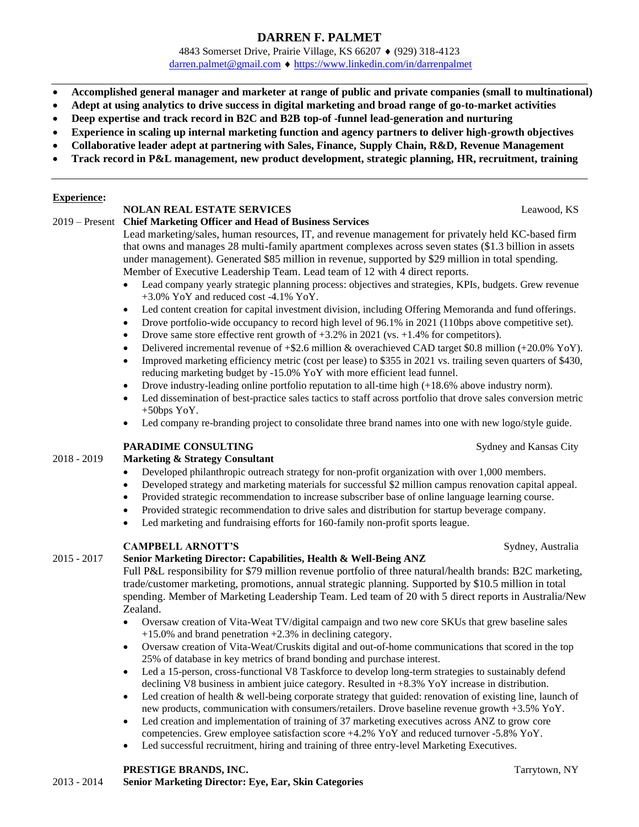# **DARREN F. PALMET**

4843 Somerset Drive, Prairie Village, KS 66207 • (929) 318-4123 [darren.palmet@gmail.com](mailto:darren.palmet@gmail.com) <https://www.linkedin.com/in/darrenpalmet>

- **Accomplished general manager and marketer at range of public and private companies (small to multinational)**
- **Adept at using analytics to drive success in digital marketing and broad range of go-to-market activities**
- **Deep expertise and track record in B2C and B2B top-of -funnel lead-generation and nurturing**
- **Experience in scaling up internal marketing function and agency partners to deliver high-growth objectives**
- **Collaborative leader adept at partnering with Sales, Finance, Supply Chain, R&D, Revenue Management**
- **Track record in P&L management, new product development, strategic planning, HR, recruitment, training**

#### **Experience:**

# **NOLAN REAL ESTATE SERVICES** Leawood, KS

2019 – Present **Chief Marketing Officer and Head of Business Services**

Lead marketing/sales, human resources, IT, and revenue management for privately held KC-based firm that owns and manages 28 multi-family apartment complexes across seven states (\$1.3 billion in assets under management). Generated \$85 million in revenue, supported by \$29 million in total spending. Member of Executive Leadership Team. Lead team of 12 with 4 direct reports.

- Lead company yearly strategic planning process: objectives and strategies, KPIs, budgets. Grew revenue +3.0% YoY and reduced cost -4.1% YoY.
- Led content creation for capital investment division, including Offering Memoranda and fund offerings.
- Drove portfolio-wide occupancy to record high level of 96.1% in 2021 (110bps above competitive set).
- Drove same store effective rent growth of  $+3.2\%$  in 2021 (vs.  $+1.4\%$  for competitors).
- Delivered incremental revenue of +\$2.6 million & overachieved CAD target \$0.8 million (+20.0% YoY).
- Improved marketing efficiency metric (cost per lease) to \$355 in 2021 vs. trailing seven quarters of \$430, reducing marketing budget by -15.0% YoY with more efficient lead funnel.
- Drove industry-leading online portfolio reputation to all-time high (+18.6% above industry norm).
- Led dissemination of best-practice sales tactics to staff across portfolio that drove sales conversion metric  $+50$ bps YoY.
- Led company re-branding project to consolidate three brand names into one with new logo/style guide.

#### **PARADIME CONSULTING** Sydney and Kansas City

# 2018 - 2019 **Marketing & Strategy Consultant**

- Developed philanthropic outreach strategy for non-profit organization with over 1,000 members.
- Developed strategy and marketing materials for successful \$2 million campus renovation capital appeal.
- Provided strategic recommendation to increase subscriber base of online language learning course.
- Provided strategic recommendation to drive sales and distribution for startup beverage company.
- Led marketing and fundraising efforts for 160-family non-profit sports league.

## **CAMPBELL ARNOTT'S** Sydney, Australia

#### 2015 - 2017 **Senior Marketing Director: Capabilities, Health & Well-Being ANZ**

Full P&L responsibility for \$79 million revenue portfolio of three natural/health brands: B2C marketing, trade/customer marketing, promotions, annual strategic planning. Supported by \$10.5 million in total spending. Member of Marketing Leadership Team. Led team of 20 with 5 direct reports in Australia/New Zealand.

- Oversaw creation of Vita-Weat TV/digital campaign and two new core SKUs that grew baseline sales +15.0% and brand penetration +2.3% in declining category.
- Oversaw creation of Vita-Weat/Cruskits digital and out-of-home communications that scored in the top 25% of database in key metrics of brand bonding and purchase interest.
- Led a 15-person, cross-functional V8 Taskforce to develop long-term strategies to sustainably defend declining V8 business in ambient juice category. Resulted in +8.3% YoY increase in distribution.
- Led creation of health & well-being corporate strategy that guided: renovation of existing line, launch of new products, communication with consumers/retailers. Drove baseline revenue growth +3.5% YoY.
- Led creation and implementation of training of 37 marketing executives across ANZ to grow core competencies. Grew employee satisfaction score +4.2% YoY and reduced turnover -5.8% YoY.
- Led successful recruitment, hiring and training of three entry-level Marketing Executives.

#### **PRESTIGE BRANDS, INC.** Tarrytown, NY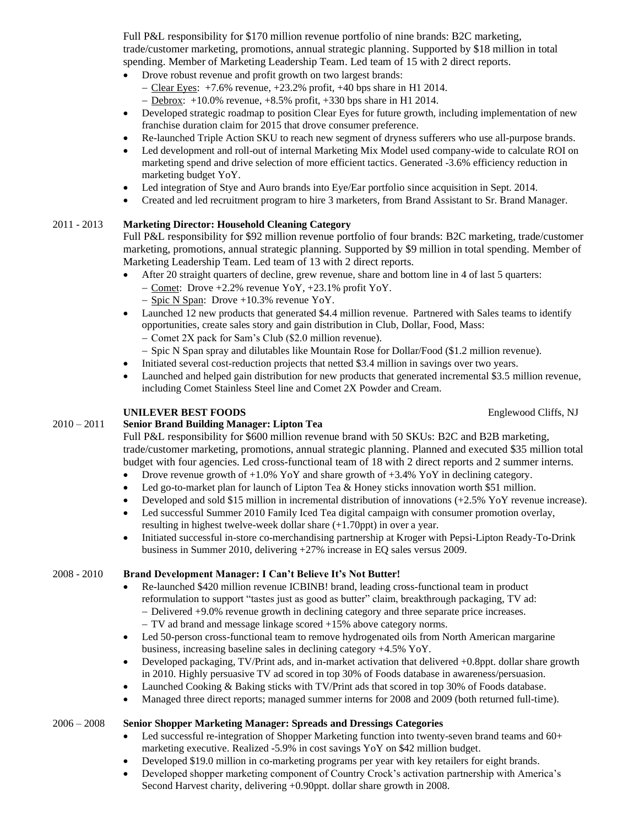Full P&L responsibility for \$170 million revenue portfolio of nine brands: B2C marketing, trade/customer marketing, promotions, annual strategic planning. Supported by \$18 million in total spending. Member of Marketing Leadership Team. Led team of 15 with 2 direct reports.

- Drove robust revenue and profit growth on two largest brands:
	- − Clear Eyes: +7.6% revenue, +23.2% profit, +40 bps share in H1 2014.
	- − Debrox: +10.0% revenue, +8.5% profit, +330 bps share in H1 2014.
- Developed strategic roadmap to position Clear Eyes for future growth, including implementation of new franchise duration claim for 2015 that drove consumer preference.
- Re-launched Triple Action SKU to reach new segment of dryness sufferers who use all-purpose brands.
- Led development and roll-out of internal Marketing Mix Model used company-wide to calculate ROI on marketing spend and drive selection of more efficient tactics. Generated -3.6% efficiency reduction in marketing budget YoY.
- Led integration of Stye and Auro brands into Eye/Ear portfolio since acquisition in Sept. 2014.
- Created and led recruitment program to hire 3 marketers, from Brand Assistant to Sr. Brand Manager.

## 2011 - 2013 **Marketing Director: Household Cleaning Category**

Full P&L responsibility for \$92 million revenue portfolio of four brands: B2C marketing, trade/customer marketing, promotions, annual strategic planning. Supported by \$9 million in total spending. Member of Marketing Leadership Team. Led team of 13 with 2 direct reports.

- After 20 straight quarters of decline, grew revenue, share and bottom line in 4 of last 5 quarters:
	- − Comet: Drove +2.2% revenue YoY, +23.1% profit YoY.
	- − Spic N Span: Drove +10.3% revenue YoY.
- Launched 12 new products that generated \$4.4 million revenue. Partnered with Sales teams to identify opportunities, create sales story and gain distribution in Club, Dollar, Food, Mass: − Comet 2X pack for Sam's Club (\$2.0 million revenue).
	- − Spic N Span spray and dilutables like Mountain Rose for Dollar/Food (\$1.2 million revenue).
- Initiated several cost-reduction projects that netted \$3.4 million in savings over two years.
- Launched and helped gain distribution for new products that generated incremental \$3.5 million revenue, including Comet Stainless Steel line and Comet 2X Powder and Cream.

#### **UNILEVER BEST FOODS** Englewood Cliffs, NJ

#### 2010 – 2011 **Senior Brand Building Manager: Lipton Tea**

Full P&L responsibility for \$600 million revenue brand with 50 SKUs: B2C and B2B marketing, trade/customer marketing, promotions, annual strategic planning. Planned and executed \$35 million total budget with four agencies. Led cross-functional team of 18 with 2 direct reports and 2 summer interns.

- Drove revenue growth of +1.0% YoY and share growth of +3.4% YoY in declining category.
- Led go-to-market plan for launch of Lipton Tea & Honey sticks innovation worth \$51 million.
- Developed and sold \$15 million in incremental distribution of innovations (+2.5% YoY revenue increase).
- Led successful Summer 2010 Family Iced Tea digital campaign with consumer promotion overlay, resulting in highest twelve-week dollar share (+1.70ppt) in over a year.
- Initiated successful in-store co-merchandising partnership at Kroger with Pepsi-Lipton Ready-To-Drink business in Summer 2010, delivering +27% increase in EQ sales versus 2009.

## 2008 - 2010 **Brand Development Manager: I Can't Believe It's Not Butter!**

- Re-launched \$420 million revenue ICBINB! brand, leading cross-functional team in product reformulation to support "tastes just as good as butter" claim, breakthrough packaging, TV ad: − Delivered +9.0% revenue growth in declining category and three separate price increases.
	- − TV ad brand and message linkage scored +15% above category norms.
- Led 50-person cross-functional team to remove hydrogenated oils from North American margarine business, increasing baseline sales in declining category +4.5% YoY.
- Developed packaging, TV/Print ads, and in-market activation that delivered +0.8ppt. dollar share growth in 2010. Highly persuasive TV ad scored in top 30% of Foods database in awareness/persuasion.
- Launched Cooking & Baking sticks with TV/Print ads that scored in top 30% of Foods database.
- Managed three direct reports; managed summer interns for 2008 and 2009 (both returned full-time).

#### 2006 – 2008 **Senior Shopper Marketing Manager: Spreads and Dressings Categories**

- Led successful re-integration of Shopper Marketing function into twenty-seven brand teams and 60+ marketing executive. Realized -5.9% in cost savings YoY on \$42 million budget.
- Developed \$19.0 million in co-marketing programs per year with key retailers for eight brands.
- Developed shopper marketing component of Country Crock's activation partnership with America's Second Harvest charity, delivering +0.90ppt. dollar share growth in 2008.